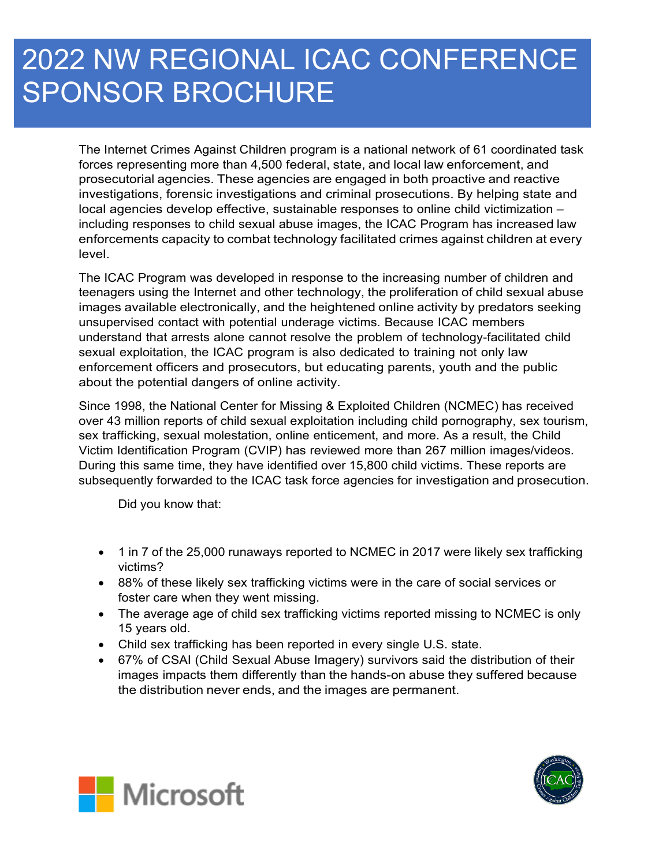# 2022 NW REGIONAL ICAC CONFERENCE SPONSOR BROCHURE

The Internet Crimes Against Children program is a national network of 61 coordinated task forces representing more than 4,500 federal, state, and local law enforcement, and prosecutorial agencies. These agencies are engaged in both proactive and reactive investigations, forensic investigations and criminal prosecutions. By helping state and local agencies develop effective, sustainable responses to online child victimization – including responses to child sexual abuse images, the ICAC Program has increased law enforcements capacity to combat technology facilitated crimes against children at every level.

The ICAC Program was developed in response to the increasing number of children and teenagers using the Internet and other technology, the proliferation of child sexual abuse images available electronically, and the heightened online activity by predators seeking unsupervised contact with potential underage victims. Because ICAC members understand that arrests alone cannot resolve the problem of technology-facilitated child sexual exploitation, the ICAC program is also dedicated to training not only law enforcement officers and prosecutors, but educating parents, youth and the public about the potential dangers of online activity.

Since 1998, the National Center for Missing & Exploited Children (NCMEC) has received over 43 million reports of child sexual exploitation including child pornography, sex tourism, sex trafficking, sexual molestation, online enticement, and more. As a result, the Child Victim Identification Program (CVIP) has reviewed more than 267 million images/videos. During this same time, they have identified over 15,800 child victims. These reports are subsequently forwarded to the ICAC task force agencies for investigation and prosecution.

Did you know that:

- 1 in 7 of the 25,000 runaways reported to NCMEC in 2017 were likely sex trafficking victims?
- 88% of these likely sex trafficking victims were in the care of social services or foster care when they went missing.
- The average age of child sex trafficking victims reported missing to NCMEC is only 15 years old.
- Child sex trafficking has been reported in every single U.S. state.
- 67% of CSAI (Child Sexual Abuse Imagery) survivors said the distribution of their images impacts them differently than the hands-on abuse they suffered because the distribution never ends, and the images are permanent.



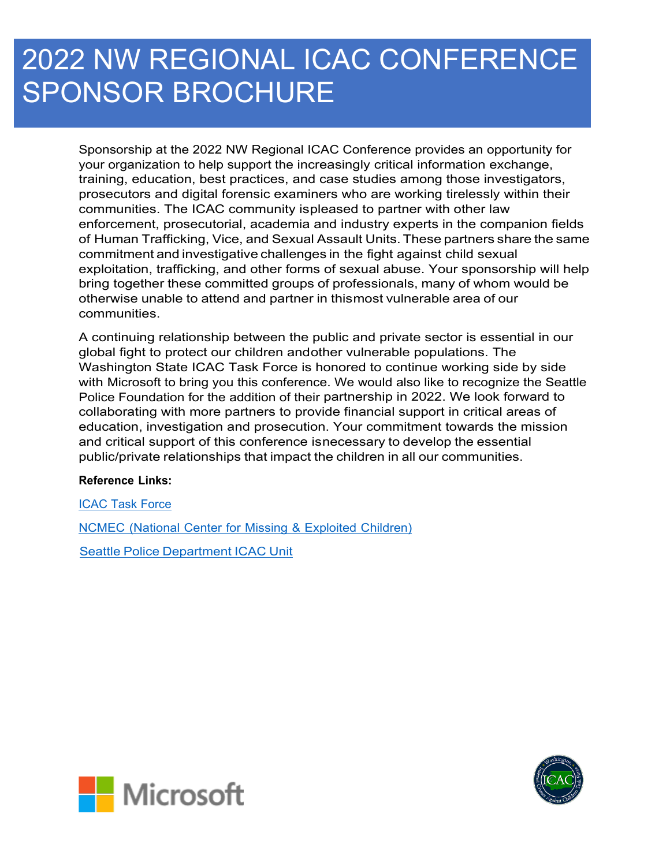# 2022 NW REGIONAL ICAC CONFERENCE SPONSOR BROCHURE

Sponsorship at the 2022 NW Regional ICAC Conference provides an opportunity for your organization to help support the increasingly critical information exchange, training, education, best practices, and case studies among those investigators, prosecutors and digital forensic examiners who are working tirelessly within their communities. The ICAC community ispleased to partner with other law enforcement, prosecutorial, academia and industry experts in the companion fields of Human Trafficking, Vice, and Sexual Assault Units. These partners share the same commitment and investigative challenges in the fight against child sexual exploitation, trafficking, and other forms of sexual abuse. Your sponsorship will help bring together these committed groups of professionals, many of whom would be otherwise unable to attend and partner in thismost vulnerable area of our communities.

A continuing relationship between the public and private sector is essential in our global fight to protect our children andother vulnerable populations. The Washington State ICAC Task Force is honored to continue working side by side with Microsoft to bring you this conference. We would also like to recognize the Seattle Police Foundation for the addition of their partnership in 2022. We look forward to collaborating with more partners to provide financial support in critical areas of education, investigation and prosecution. Your commitment towards the mission and critical support of this conference isnecessary to develop the essential public/private relationships that impact the children in all our communities.

#### **Reference Links:**

ICAC Task Force

NCMEC (National Center for Missing & Exploited Children)

Seattle Police Department ICAC Unit